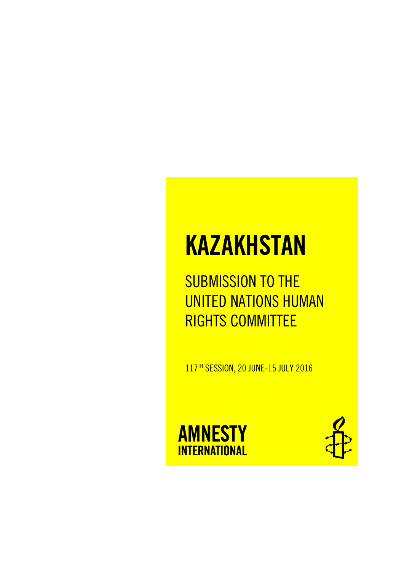# **KAZAKHSTAN**

SUBMISSION TO THE UNITED NATIONS HUMAN RIGHTS COMMITTEE

117<sup>™</sup> SESSION, 20 JUNE-15 JULY 2016



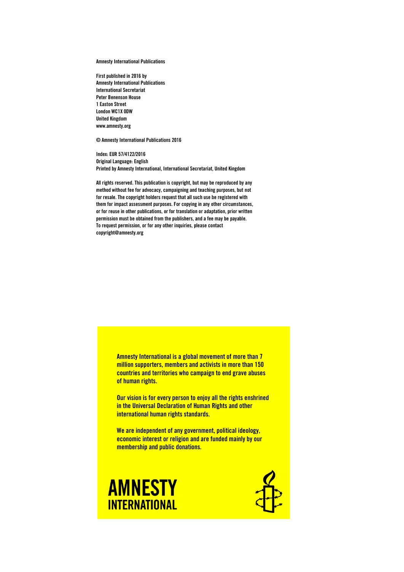**Amnesty International Publications**

**First published in 2016 by Amnesty International Publications International Secretariat Peter Benenson House 1 Easton Street London WC1X 0DW United Kingdom www.amnesty.org**

**© Amnesty International Publications 2016**

**Index: EUR 57/4122/2016 Original Language: English Printed by Amnesty International, International Secretariat, United Kingdom**

**All rights reserved. This publication is copyright, but may be reproduced by any method without fee for advocacy, campaigning and teaching purposes, but not for resale. The copyright holders request that all such use be registered with them for impact assessment purposes. For copying in any other circumstances, or for reuse in other publications, or for translation or adaptation, prior written permission must be obtained from the publishers, and a fee may be payable. To request permission, or for any other inquiries, please contact copyright@amnesty.org**

> **Amnesty International is a global movement of more than 7 million supporters, members and activists in more than 150 countries and territories who campaign to end grave abuses of human rights.**

**Our vision is for every person to enjoy all the rights enshrined in the Universal Declaration of Human Rights and other international human rights standards.**

**We are independent of any government, political ideology, economic interest or religion and are funded mainly by our membership and public donations.**



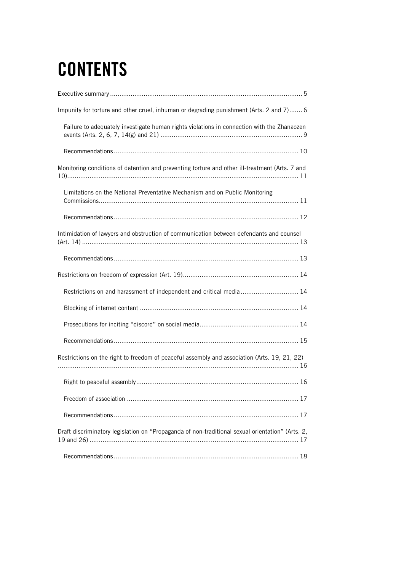# **CONTENTS**

| Impunity for torture and other cruel, inhuman or degrading punishment (Arts. 2 and 7) 6          |
|--------------------------------------------------------------------------------------------------|
| Failure to adequately investigate human rights violations in connection with the Zhanaozen       |
|                                                                                                  |
| Monitoring conditions of detention and preventing torture and other ill-treatment (Arts. 7 and   |
| Limitations on the National Preventative Mechanism and on Public Monitoring                      |
|                                                                                                  |
| Intimidation of lawyers and obstruction of communication between defendants and counsel          |
|                                                                                                  |
|                                                                                                  |
| Restrictions on and harassment of independent and critical media  14                             |
|                                                                                                  |
|                                                                                                  |
|                                                                                                  |
| Restrictions on the right to freedom of peaceful assembly and association (Arts. 19, 21, 22)     |
|                                                                                                  |
|                                                                                                  |
|                                                                                                  |
| Draft discriminatory legislation on "Propaganda of non-traditional sexual orientation" (Arts. 2, |
|                                                                                                  |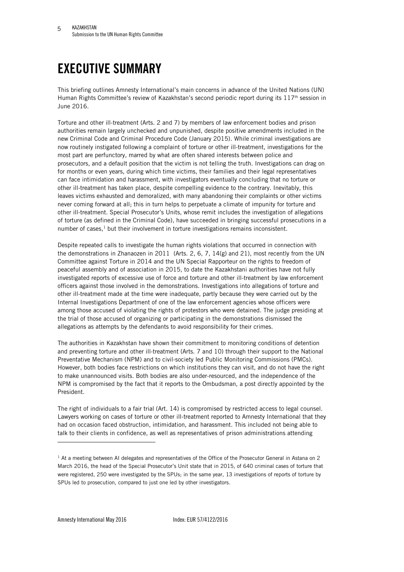## <span id="page-4-0"></span>**EXECUTIVE SUMMARY**

This briefing outlines Amnesty International's main concerns in advance of the United Nations (UN) Human Rights Committee's review of Kazakhstan's second periodic report during its 117th session in June 2016.

Torture and other ill-treatment (Arts. 2 and 7) by members of law enforcement bodies and prison authorities remain largely unchecked and unpunished, despite positive amendments included in the new Criminal Code and Criminal Procedure Code (January 2015). While criminal investigations are now routinely instigated following a complaint of torture or other ill-treatment, investigations for the most part are perfunctory, marred by what are often shared interests between police and prosecutors, and a default position that the victim is not telling the truth. Investigations can drag on for months or even years, during which time victims, their families and their legal representatives can face intimidation and harassment, with investigators eventually concluding that no torture or other ill-treatment has taken place, despite compelling evidence to the contrary. Inevitably, this leaves victims exhausted and demoralized, with many abandoning their complaints or other victims never coming forward at all; this in turn helps to perpetuate a climate of impunity for torture and other ill-treatment. Special Prosecutor's Units, whose remit includes the investigation of allegations of torture (as defined in the Criminal Code), have succeeded in bringing successful prosecutions in a number of cases, $1$  but their involvement in torture investigations remains inconsistent.

Despite repeated calls to investigate the human rights violations that occurred in connection with the demonstrations in Zhanaozen in 2011 (Arts. 2, 6, 7, 14(g) and 21), most recently from the UN Committee against Torture in 2014 and the UN Special Rapporteur on the rights to freedom of peaceful assembly and of association in 2015, to date the Kazakhstani authorities have not fully investigated reports of excessive use of force and torture and other ill-treatment by law enforcement officers against those involved in the demonstrations. Investigations into allegations of torture and other ill-treatment made at the time were inadequate, partly because they were carried out by the Internal Investigations Department of one of the law enforcement agencies whose officers were among those accused of violating the rights of protestors who were detained. The judge presiding at the trial of those accused of organizing or participating in the demonstrations dismissed the allegations as attempts by the defendants to avoid responsibility for their crimes.

The authorities in Kazakhstan have shown their commitment to monitoring conditions of detention and preventing torture and other ill-treatment (Arts. 7 and 10) through their support to the National Preventative Mechanism (NPM) and to civil-society led Public Monitoring Commissions (PMCs). However, both bodies face restrictions on which institutions they can visit, and do not have the right to make unannounced visits. Both bodies are also under-resourced, and the independence of the NPM is compromised by the fact that it reports to the Ombudsman, a post directly appointed by the President.

The right of individuals to a fair trial (Art. 14) is compromised by restricted access to legal counsel. Lawyers working on cases of torture or other ill-treatment reported to Amnesty International that they had on occasion faced obstruction, intimidation, and harassment. This included not being able to talk to their clients in confidence, as well as representatives of prison administrations attending

 $1$  At a meeting between AI delegates and representatives of the Office of the Prosecutor General in Astana on 2 March 2016, the head of the Special Prosecutor's Unit state that in 2015, of 640 criminal cases of torture that were registered, 250 were investigated by the SPUs; in the same year, 13 investigations of reports of torture by SPUs led to prosecution, compared to just one led by other investigators.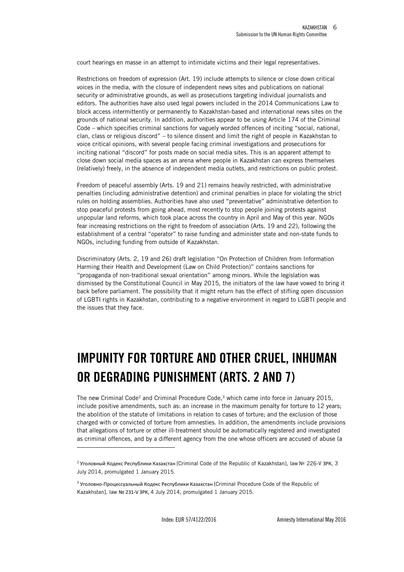court hearings en masse in an attempt to intimidate victims and their legal representatives.

Restrictions on freedom of expression (Art. 19) include attempts to silence or close down critical voices in the media, with the closure of independent news sites and publications on national security or administrative grounds, as well as prosecutions targeting individual journalists and editors. The authorities have also used legal powers included in the 2014 Communications Law to block access intermittently or permanently to Kazakhstan-based and international news sites on the grounds of national security. In addition, authorities appear to be using Article 174 of the Criminal Code – which specifies criminal sanctions for vaguely worded offences of inciting "social, national, clan, class or religious discord" – to silence dissent and limit the right of people in Kazakhstan to voice critical opinions, with several people facing criminal investigations and prosecutions for inciting national "discord" for posts made on social media sites. This is an apparent attempt to close down social media spaces as an arena where people in Kazakhstan can express themselves (relatively) freely, in the absence of independent media outlets, and restrictions on public protest.

Freedom of peaceful assembly (Arts. 19 and 21) remains heavily restricted, with administrative penalties (including administrative detention) and criminal penalties in place for violating the strict rules on holding assemblies. Authorities have also used "preventative" administrative detention to stop peaceful protests from going ahead, most recently to stop people joining protests against unpopular land reforms, which took place across the country in April and May of this year. NGOs fear increasing restrictions on the right to freedom of association (Arts. 19 and 22), following the establishment of a central "operator" to raise funding and administer state and non-state funds to NGOs, including funding from outside of Kazakhstan.

Discriminatory (Arts. 2, 19 and 26) draft legislation "On Protection of Children from Information Harming their Health and Development (Law on Child Protection)" contains sanctions for "propaganda of non-traditional sexual orientation" among minors. While the legislation was dismissed by the Constitutional Council in May 2015, the initiators of the law have vowed to bring it back before parliament. The possibility that it might return has the effect of stifling open discussion of LGBTI rights in Kazakhstan, contributing to a negative environment in regard to LGBTI people and the issues that they face.

### <span id="page-5-0"></span>**IMPUNITY FOR TORTURE AND OTHER CRUEL, INHUMAN OR DEGRADING PUNISHMENT (ARTS. 2 AND 7)**

The new Criminal Code<sup>2</sup> and Criminal Procedure Code,<sup>3</sup> which came into force in January 2015, include positive amendments, such as: an increase in the maximum penalty for torture to 12 years; the abolition of the statute of limitations in relation to cases of torture; and the exclusion of those charged with or convicted of torture from amnesties. In addition, the amendments include provisions that allegations of torture or other ill-treatment should be automatically registered and investigated as criminal offences, and by a different agency from the one whose officers are accused of abuse (a

l

<sup>&</sup>lt;sup>2</sup> Уголовный Кодекс Республики Казахстан [Criminal Code of the Republic of Kazakhstan], law № 226-V ЗРК, З July 2014, promulgated 1 January 2015.

<sup>&</sup>lt;sup>3</sup> Уголовно-Процессуальный Кодекс Республики Казахстан [Criminal Procedure Code of the Republic of Kazakhstan], law № 231-V ЗРК, 4 July 2014, promulgated 1 January 2015.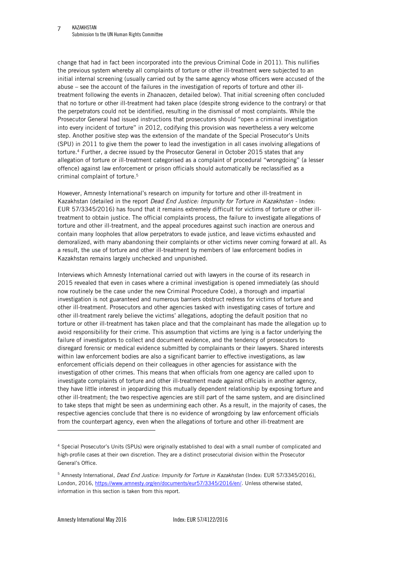change that had in fact been incorporated into the previous Criminal Code in 2011). This nullifies the previous system whereby all complaints of torture or other ill-treatment were subjected to an initial internal screening (usually carried out by the same agency whose officers were accused of the abuse – see the account of the failures in the investigation of reports of torture and other illtreatment following the events in Zhanaozen, detailed below). That initial screening often concluded that no torture or other ill-treatment had taken place (despite strong evidence to the contrary) or that the perpetrators could not be identified, resulting in the dismissal of most complaints. While the Prosecutor General had issued instructions that prosecutors should "open a criminal investigation into every incident of torture" in 2012, codifying this provision was nevertheless a very welcome step. Another positive step was the extension of the mandate of the Special Prosecutor's Units (SPU) in 2011 to give them the power to lead the investigation in all cases involving allegations of torture. <sup>4</sup> Further, a decree issued by the Prosecutor General in October 2015 states that any allegation of torture or ill-treatment categorised as a complaint of procedural "wrongdoing" (a lesser offence) against law enforcement or prison officials should automatically be reclassified as a criminal complaint of torture. 5

However, Amnesty International's research on impunity for torture and other ill-treatment in Kazakhstan (detailed in the report *Dead End Justice: Impunity for Torture in Kazakhstan -* Index: EUR 57/3345/2016) has found that it remains extremely difficult for victims of torture or other illtreatment to obtain justice. The official complaints process, the failure to investigate allegations of torture and other ill-treatment, and the appeal procedures against such inaction are onerous and contain many loopholes that allow perpetrators to evade justice, and leave victims exhausted and demoralized, with many abandoning their complaints or other victims never coming forward at all. As a result, the use of torture and other ill-treatment by members of law enforcement bodies in Kazakhstan remains largely unchecked and unpunished.

Interviews which Amnesty International carried out with lawyers in the course of its research in 2015 revealed that even in cases where a criminal investigation is opened immediately (as should now routinely be the case under the new Criminal Procedure Code), a thorough and impartial investigation is not guaranteed and numerous barriers obstruct redress for victims of torture and other ill-treatment. Prosecutors and other agencies tasked with investigating cases of torture and other ill-treatment rarely believe the victims' allegations, adopting the default position that no torture or other ill-treatment has taken place and that the complainant has made the allegation up to avoid responsibility for their crime. This assumption that victims are lying is a factor underlying the failure of investigators to collect and document evidence, and the tendency of prosecutors to disregard forensic or medical evidence submitted by complainants or their lawyers. Shared interests within law enforcement bodies are also a significant barrier to effective investigations, as law enforcement officials depend on their colleagues in other agencies for assistance with the investigation of other crimes. This means that when officials from one agency are called upon to investigate complaints of torture and other ill-treatment made against officials in another agency, they have little interest in jeopardizing this mutually dependent relationship by exposing torture and other ill-treatment; the two respective agencies are still part of the same system, and are disinclined to take steps that might be seen as undermining each other. As a result, in the majority of cases, the respective agencies conclude that there is no evidence of wrongdoing by law enforcement officials from the counterpart agency, even when the allegations of torture and other ill-treatment are

<sup>4</sup> Special Prosecutor's Units (SPUs) were originally established to deal with a small number of complicated and high-profile cases at their own discretion. They are a distinct prosecutorial division within the Prosecutor General's Office.

<sup>5</sup> Amnesty International, *Dead End Justice: Impunity for Torture in Kazakhstan* (Index: EUR 57/3345/2016), London, 2016, [https://www.amnesty.org/en/documents/eur57/3345/2016/en/.](https://www.amnesty.org/en/documents/eur57/3345/2016/en/) Unless otherwise stated, information in this section is taken from this report.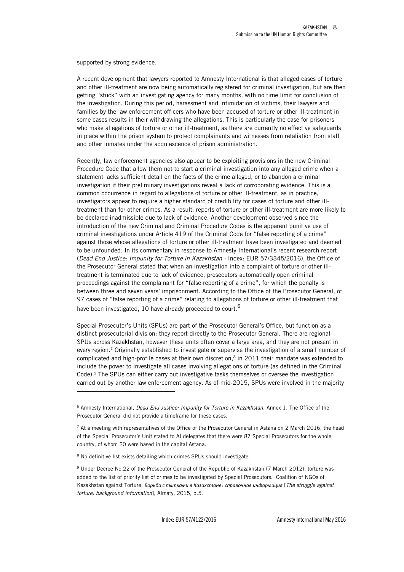supported by strong evidence.

A recent development that lawyers reported to Amnesty International is that alleged cases of torture and other ill-treatment are now being automatically registered for criminal investigation, but are then getting "stuck" with an investigating agency for many months, with no time limit for conclusion of the investigation. During this period, harassment and intimidation of victims, their lawyers and families by the law enforcement officers who have been accused of torture or other ill-treatment in some cases results in their withdrawing the allegations. This is particularly the case for prisoners who make allegations of torture or other ill-treatment, as there are currently no effective safeguards in place within the prison system to protect complainants and witnesses from retaliation from staff and other inmates under the acquiescence of prison administration.

Recently, law enforcement agencies also appear to be exploiting provisions in the new Criminal Procedure Code that allow them not to start a criminal investigation into any alleged crime when a statement lacks sufficient detail on the facts of the crime alleged, or to abandon a criminal investigation if their preliminary investigations reveal a lack of corroborating evidence. This is a common occurrence in regard to allegations of torture or other ill-treatment, as in practice, investigators appear to require a higher standard of credibility for cases of torture and other illtreatment than for other crimes. As a result, reports of torture or other ill-treatment are more likely to be declared inadmissible due to lack of evidence. Another development observed since the introduction of the new Criminal and Criminal Procedure Codes is the apparent punitive use of criminal investigations under Article 419 of the Criminal Code for "false reporting of a crime" against those whose allegations of torture or other ill-treatment have been investigated and deemed to be unfounded. In its commentary in response to Amnesty International's recent research report (*Dead End Justice: Impunity for Torture in Kazakhstan -* Index: EUR 57/3345/2016), the Office of the Prosecutor General stated that when an investigation into a complaint of torture or other illtreatment is terminated due to lack of evidence, prosecutors automatically open criminal proceedings against the complainant for "false reporting of a crime", for which the penalty is between three and seven years' imprisonment. According to the Office of the Prosecutor General, of 97 cases of "false reporting of a crime" relating to allegations of torture or other ill-treatment that have been investigated, 10 have already proceeded to court.<sup>6</sup>

Special Prosecutor's Units (SPUs) are part of the Prosecutor General's Office, but function as a distinct prosecutorial division; they report directly to the Prosecutor General. There are regional SPUs across Kazakhstan, however these units often cover a large area, and they are not present in every region.<sup>7</sup> Originally established to investigate or supervise the investigation of a small number of complicated and high-profile cases at their own discretion,<sup>8</sup> in 2011 their mandate was extended to include the power to investigate all cases involving allegations of torture (as defined in the Criminal Code). <sup>9</sup> The SPUs can either carry out investigative tasks themselves or oversee the investigation carried out by another law enforcement agency. As of mid-2015, SPUs were involved in the majority

l

<sup>6</sup> Amnesty International, *Dead End Justice: Impunity for Torture in Kazakhstan*, Annex 1. The Office of the Prosecutor General did not provide a timeframe for these cases.

 $7$  At a meeting with representatives of the Office of the Prosecutor General in Astana on 2 March 2016, the head of the Special Prosecutor's Unit stated to AI delegates that there were 87 Special Prosecutors for the whole country, of whom 20 were based in the capital Astana.

<sup>&</sup>lt;sup>8</sup> No definitive list exists detailing which crimes SPUs should investigate.

<sup>9</sup> Under Decree No.22 of the Prosecutor General of the Republic of Kazakhstan (7 March 2012), torture was added to the list of priority list of crimes to be investigated by Special Prosecutors. Coalition of NGOs of Kazakhstan against Torture, *Борьба с пытками в Казахстане: справочная информация* [*The struggle against torture: background information*], Almaty, 2015, p.5.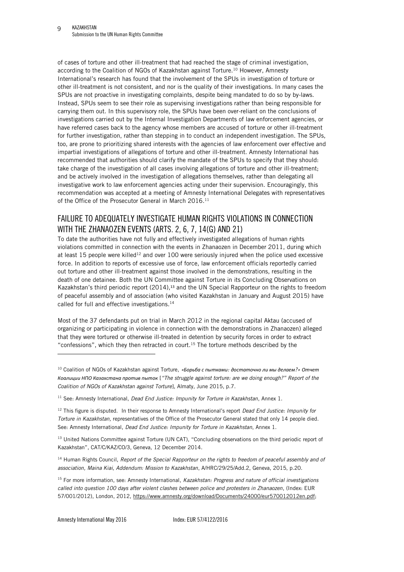of cases of torture and other ill-treatment that had reached the stage of criminal investigation, according to the Coalition of NGOs of Kazakhstan against Torture.<sup>10</sup> However, Amnesty International's research has found that the involvement of the SPUs in investigation of torture or other ill-treatment is not consistent, and nor is the quality of their investigations. In many cases the SPUs are not proactive in investigating complaints, despite being mandated to do so by by-laws. Instead, SPUs seem to see their role as supervising investigations rather than being responsible for carrying them out. In this supervisory role, the SPUs have been over-reliant on the conclusions of investigations carried out by the Internal Investigation Departments of law enforcement agencies, or have referred cases back to the agency whose members are accused of torture or other ill-treatment for further investigation, rather than stepping in to conduct an independent investigation. The SPUs, too, are prone to prioritizing shared interests with the agencies of law enforcement over effective and impartial investigations of allegations of torture and other ill-treatment. Amnesty International has recommended that authorities should clarify the mandate of the SPUs to specify that they should: take charge of the investigation of all cases involving allegations of torture and other ill-treatment; and be actively involved in the investigation of allegations themselves, rather than delegating all investigative work to law enforcement agencies acting under their supervision. Encouragingly, this recommendation was accepted at a meeting of Amnesty International Delegates with representatives of the Office of the Prosecutor General in March 2016.<sup>11</sup>

### <span id="page-8-0"></span>FAILURE TO ADEQUATELY INVESTIGATE HUMAN RIGHTS VIOLATIONS IN CONNECTION WITH THE ZHANAOZEN EVENTS (ARTS. 2, 6, 7, 14(G) AND 21)

To date the authorities have not fully and effectively investigated allegations of human rights violations committed in connection with the events in Zhanaozen in December 2011, during which at least 15 people were killed<sup>12</sup> and over 100 were seriously injured when the police used excessive force. In addition to reports of excessive use of force, law enforcement officials reportedly carried out torture and other ill-treatment against those involved in the demonstrations, resulting in the death of one detainee. Both the UN Committee against Torture in its Concluding Observations on Kazakhstan's third periodic report (2014),<sup>13</sup> and the UN Special Rapporteur on the rights to freedom of peaceful assembly and of association (who visited Kazakhstan in January and August 2015) have called for full and effective investigations.<sup>14</sup>

Most of the 37 defendants put on trial in March 2012 in the regional capital Aktau (accused of organizing or participating in violence in connection with the demonstrations in Zhanaozen) alleged that they were tortured or otherwise ill-treated in detention by security forces in order to extract "confessions", which they then retracted in court.<sup>15</sup> The torture methods described by the

<sup>11</sup> See: Amnesty International, *Dead End Justice: Impunity for Torture in Kazakhstan*, Annex 1.

<sup>12</sup> This figure is disputed. In their response to Amnesty International's report *Dead End Justice: Impunity for Torture in Kazakhstan,* representatives of the Office of the Prosecutor General stated that only 14 people died. See: Amnesty International, *Dead End Justice: Impunity for Torture in Kazakhstan*, Annex 1.

<sup>13</sup> United Nations Committee against Torture (UN CAT), "Concluding observations on the third periodic report of Kazakhstan", CAT/C/KAZ/CO/3, Geneva, 12 December 2014.

<sup>14</sup> Human Rights Council, *Report of the Special Rapporteur on the rights to freedom of peaceful assembly and of association, Maina Kiai, Addendum: Mission to Kazakhstan*, A/HRC/29/25/Add.2, Geneva, 2015, p.20.

<sup>15</sup> For more information, see: Amnesty International, *Kazakhstan: Progress and nature of official investigations called into question 100 days after violent clashes between police and protesters in Zhanaozen*, (Index: EUR 57/001/2012), London, 2012, [https://www.amnesty.org/download/Documents/24000/eur570012012en.pdf;](https://www.amnesty.org/download/Documents/24000/eur570012012en.pdf)

j

<sup>10</sup> Coalition of NGOs of Kazakhstan against Torture, *«Борьба с пытками: достаточно ли мы делаем?» Отчет Коалиции НПО Казахстана против пыток* [*"The struggle against torture: are we doing enough?" Report of the Coalition of NGOs of Kazakhstan against Torture*], Almaty, June 2015, p.7.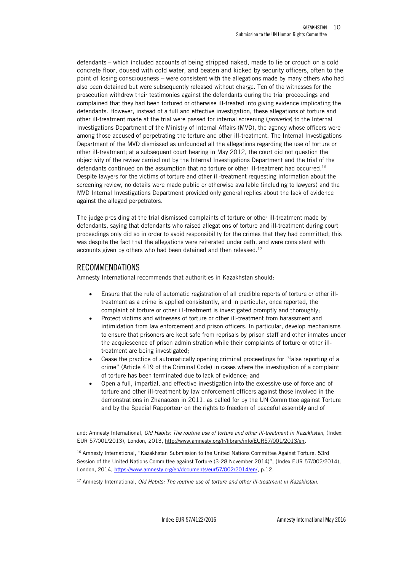defendants – which included accounts of being stripped naked, made to lie or crouch on a cold concrete floor, doused with cold water, and beaten and kicked by security officers, often to the point of losing consciousness – were consistent with the allegations made by many others who had also been detained but were subsequently released without charge. Ten of the witnesses for the prosecution withdrew their testimonies against the defendants during the trial proceedings and complained that they had been tortured or otherwise ill-treated into giving evidence implicating the defendants. However, instead of a full and effective investigation, these allegations of torture and other ill-treatment made at the trial were passed for internal screening (*proverka*) to the Internal Investigations Department of the Ministry of Internal Affairs (MVD), the agency whose officers were among those accused of perpetrating the torture and other ill-treatment. The Internal Investigations Department of the MVD dismissed as unfounded all the allegations regarding the use of torture or other ill-treatment; at a subsequent court hearing in May 2012, the court did not question the objectivity of the review carried out by the Internal Investigations Department and the trial of the defendants continued on the assumption that no torture or other ill-treatment had occurred.<sup>16</sup> Despite lawyers for the victims of torture and other ill-treatment requesting information about the screening review, no details were made public or otherwise available (including to lawyers) and the MVD Internal Investigations Department provided only general replies about the lack of evidence against the alleged perpetrators.

The judge presiding at the trial dismissed complaints of torture or other ill-treatment made by defendants, saying that defendants who raised allegations of torture and ill-treatment during court proceedings only did so in order to avoid responsibility for the crimes that they had committed; this was despite the fact that the allegations were reiterated under oath, and were consistent with accounts given by others who had been detained and then released.<sup>17</sup>

#### <span id="page-9-0"></span>RECOMMENDATIONS

j

Amnesty International recommends that authorities in Kazakhstan should:

- Ensure that the rule of automatic registration of all credible reports of torture or other illtreatment as a crime is applied consistently, and in particular, once reported, the complaint of torture or other ill-treatment is investigated promptly and thoroughly;
- Protect victims and witnesses of torture or other ill-treatment from harassment and intimidation from law enforcement and prison officers. In particular, develop mechanisms to ensure that prisoners are kept safe from reprisals by prison staff and other inmates under the acquiescence of prison administration while their complaints of torture or other illtreatment are being investigated;
- Cease the practice of automatically opening criminal proceedings for "false reporting of a crime" (Article 419 of the Criminal Code) in cases where the investigation of a complaint of torture has been terminated due to lack of evidence; and
- Open a full, impartial, and effective investigation into the excessive use of force and of torture and other ill-treatment by law enforcement officers against those involved in the demonstrations in Zhanaozen in 2011, as called for by the UN Committee against Torture and by the Special Rapporteur on the rights to freedom of peaceful assembly and of

and: Amnesty International, *Old Habits: The routine use of torture and other ill-treatment in Kazakhstan*, (Index: EUR 57/001/2013), London, 2013, [http://www.amnesty.org/fr/library/info/EUR57/001/2013/en.](http://www.amnesty.org/fr/library/info/EUR57/001/2013/en)

<sup>16</sup> Amnesty International, "Kazakhstan Submission to the United Nations Committee Against Torture, 53rd Session of the United Nations Committee against Torture (3-28 November 2014)", (Index EUR 57/002/2014), London, 2014[, https://www.amnesty.org/en/documents/eur57/002/2014/en/,](https://www.amnesty.org/en/documents/eur57/002/2014/en/) p.12.

<sup>17</sup> Amnesty International, *Old Habits: The routine use of torture and other ill-treatment in Kazakhstan.*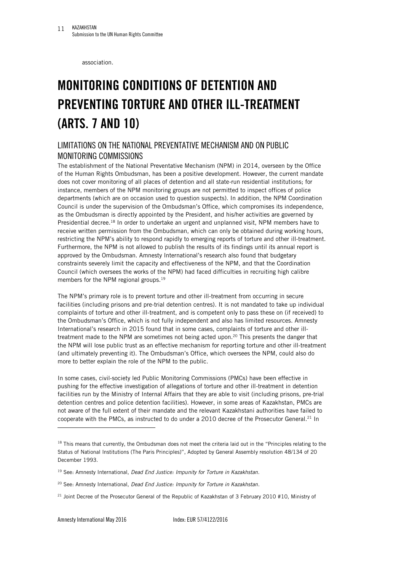association.

# <span id="page-10-0"></span>**MONITORING CONDITIONS OF DETENTION AND PREVENTING TORTURE AND OTHER ILL-TREATMENT (ARTS. 7 AND 10)**

### <span id="page-10-1"></span>LIMITATIONS ON THE NATIONAL PREVENTATIVE MECHANISM AND ON PUBLIC MONITORING COMMISSIONS

The establishment of the National Preventative Mechanism (NPM) in 2014, overseen by the Office of the Human Rights Ombudsman, has been a positive development. However, the current mandate does not cover monitoring of all places of detention and all state-run residential institutions; for instance, members of the NPM monitoring groups are not permitted to inspect offices of police departments (which are on occasion used to question suspects). In addition, the NPM Coordination Council is under the supervision of the Ombudsman's Office, which compromises its independence, as the Ombudsman is directly appointed by the President, and his/her activities are governed by Presidential decree.<sup>18</sup> In order to undertake an urgent and unplanned visit, NPM members have to receive written permission from the Ombudsman, which can only be obtained during working hours, restricting the NPM's ability to respond rapidly to emerging reports of torture and other ill-treatment. Furthermore, the NPM is not allowed to publish the results of its findings until its annual report is approved by the Ombudsman. Amnesty International's research also found that budgetary constraints severely limit the capacity and effectiveness of the NPM, and that the Coordination Council (which oversees the works of the NPM) had faced difficulties in recruiting high calibre members for the NPM regional groups.<sup>19</sup>

The NPM's primary role is to prevent torture and other ill-treatment from occurring in secure facilities (including prisons and pre-trial detention centres). It is not mandated to take up individual complaints of torture and other ill-treatment, and is competent only to pass these on (if received) to the Ombudsman's Office, which is not fully independent and also has limited resources. Amnesty International's research in 2015 found that in some cases, complaints of torture and other illtreatment made to the NPM are sometimes not being acted upon.<sup>20</sup> This presents the danger that the NPM will lose public trust as an effective mechanism for reporting torture and other ill-treatment (and ultimately preventing it). The Ombudsman's Office, which oversees the NPM, could also do more to better explain the role of the NPM to the public.

In some cases, civil-society led Public Monitoring Commissions (PMCs) have been effective in pushing for the effective investigation of allegations of torture and other ill-treatment in detention facilities run by the Ministry of Internal Affairs that they are able to visit (including prisons, pre-trial detention centres and police detention facilities). However, in some areas of Kazakhstan, PMCs are not aware of the full extent of their mandate and the relevant Kazakhstani authorities have failed to cooperate with the PMCs, as instructed to do under a 2010 decree of the Prosecutor General.<sup>21</sup> In

j

<sup>&</sup>lt;sup>18</sup> This means that currently, the Ombudsman does not meet the criteria laid out in the "Principles relating to the Status of National Institutions (The Paris Principles)", Adopted by General Assembly resolution 48/134 of 20 December 1993.

<sup>19</sup> See: Amnesty International, *Dead End Justice: Impunity for Torture in Kazakhstan.* 

<sup>20</sup> See: Amnesty International, *Dead End Justice: Impunity for Torture in Kazakhstan.*

<sup>&</sup>lt;sup>21</sup> Joint Decree of the Prosecutor General of the Republic of Kazakhstan of 3 February 2010 #10, Ministry of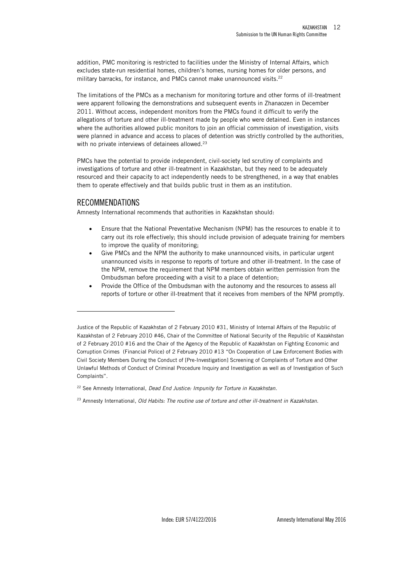addition, PMC monitoring is restricted to facilities under the Ministry of Internal Affairs, which excludes state-run residential homes, children's homes, nursing homes for older persons, and military barracks, for instance, and PMCs cannot make unannounced visits.<sup>22</sup>

The limitations of the PMCs as a mechanism for monitoring torture and other forms of ill-treatment were apparent following the demonstrations and subsequent events in Zhanaozen in December 2011. Without access, independent monitors from the PMCs found it difficult to verify the allegations of torture and other ill-treatment made by people who were detained. Even in instances where the authorities allowed public monitors to join an official commission of investigation, visits were planned in advance and access to places of detention was strictly controlled by the authorities, with no private interviews of detainees allowed.<sup>23</sup>

PMCs have the potential to provide independent, civil-society led scrutiny of complaints and investigations of torture and other ill-treatment in Kazakhstan, but they need to be adequately resourced and their capacity to act independently needs to be strengthened, in a way that enables them to operate effectively and that builds public trust in them as an institution.

#### <span id="page-11-0"></span>RECOMMENDATIONS

j

Amnesty International recommends that authorities in Kazakhstan should:

- Ensure that the National Preventative Mechanism (NPM) has the resources to enable it to carry out its role effectively; this should include provision of adequate training for members to improve the quality of monitoring;
- Give PMCs and the NPM the authority to make unannounced visits, in particular urgent unannounced visits in response to reports of torture and other ill-treatment. In the case of the NPM, remove the requirement that NPM members obtain written permission from the Ombudsman before proceeding with a visit to a place of detention;
- Provide the Office of the Ombudsman with the autonomy and the resources to assess all reports of torture or other ill-treatment that it receives from members of the NPM promptly.

Justice of the Republic of Kazakhstan of 2 February 2010 #31, Ministry of Internal Affairs of the Republic of Kazakhstan of 2 February 2010 #46, Chair of the Committee of National Security of the Republic of Kazakhstan of 2 February 2010 #16 and the Chair of the Agency of the Republic of Kazakhstan on Fighting Economic and Corruption Crimes (Financial Police) of 2 February 2010 #13 "On Cooperation of Law Enforcement Bodies with Civil Society Members During the Conduct of [Pre-Investigation] Screening of Complaints of Torture and Other Unlawful Methods of Conduct of Criminal Procedure Inquiry and Investigation as well as of Investigation of Such Complaints".

<sup>22</sup> See Amnesty International, *Dead End Justice: Impunity for Torture in Kazakhstan.* 

<sup>23</sup> Amnesty International, *Old Habits: The routine use of torture and other ill-treatment in Kazakhstan.*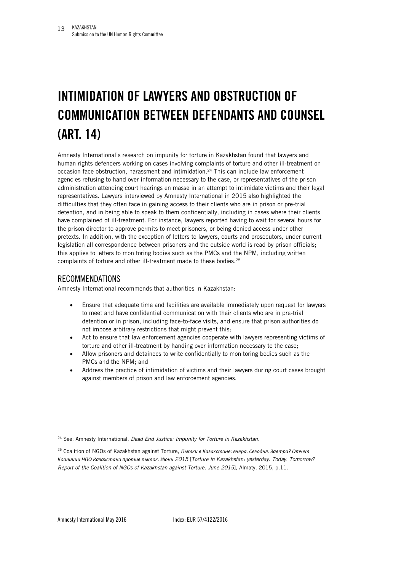# <span id="page-12-0"></span>**INTIMIDATION OF LAWYERS AND OBSTRUCTION OF COMMUNICATION BETWEEN DEFENDANTS AND COUNSEL (ART. 14)**

Amnesty International's research on impunity for torture in Kazakhstan found that lawyers and human rights defenders working on cases involving complaints of torture and other ill-treatment on occasion face obstruction, harassment and intimidation.<sup>24</sup> This can include law enforcement agencies refusing to hand over information necessary to the case, or representatives of the prison administration attending court hearings en masse in an attempt to intimidate victims and their legal representatives. Lawyers interviewed by Amnesty International in 2015 also highlighted the difficulties that they often face in gaining access to their clients who are in prison or pre-trial detention, and in being able to speak to them confidentially, including in cases where their clients have complained of ill-treatment. For instance, lawyers reported having to wait for several hours for the prison director to approve permits to meet prisoners, or being denied access under other pretexts. In addition, with the exception of letters to lawyers, courts and prosecutors, under current legislation all correspondence between prisoners and the outside world is read by prison officials; this applies to letters to monitoring bodies such as the PMCs and the NPM, including written complaints of torture and other ill-treatment made to these bodies.<sup>25</sup>

#### <span id="page-12-1"></span>RECOMMENDATIONS

Amnesty International recommends that authorities in Kazakhstan:

- Ensure that adequate time and facilities are available immediately upon request for lawyers to meet and have confidential communication with their clients who are in pre-trial detention or in prison, including face-to-face visits, and ensure that prison authorities do not impose arbitrary restrictions that might prevent this;
- Act to ensure that law enforcement agencies cooperate with lawyers representing victims of torture and other ill-treatment by handing over information necessary to the case;
- Allow prisoners and detainees to write confidentially to monitoring bodies such as the PMCs and the NPM; and
- Address the practice of intimidation of victims and their lawyers during court cases brought against members of prison and law enforcement agencies.

j

<sup>24</sup> See: Amnesty International, *Dead End Justice: Impunity for Torture in Kazakhstan.*

<sup>25</sup> Coalition of NGOs of Kazakhstan against Torture, *Пытки в Казахстане: вчера. Сегодня. Завтра? Отчет Коалиции НПО Казахстана против пыток. Июнь 2015* [*Torture in Kazakhstan: yesterday. Today. Tomorrow? Report of the Coalition of NGOs of Kazakhstan against Torture*. *June 2015*], Almaty, 2015, p.11.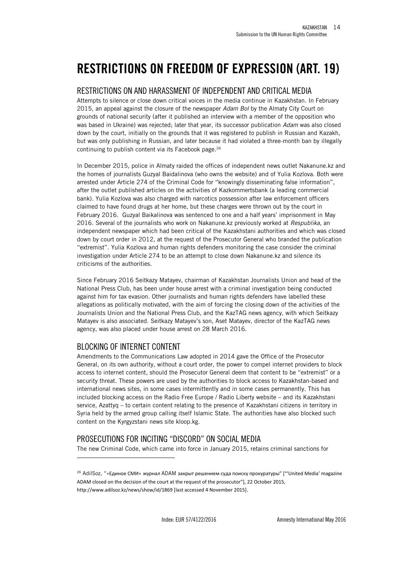### <span id="page-13-0"></span>**RESTRICTIONS ON FREEDOM OF EXPRESSION (ART. 19)**

#### <span id="page-13-1"></span>RESTRICTIONS ON AND HARASSMENT OF INDEPENDENT AND CRITICAL MEDIA

Attempts to silence or close down critical voices in the media continue in Kazakhstan. In February 2015, an appeal against the closure of the newspaper *Adam Bol* by the Almaty City Court on grounds of national security (after it published an interview with a member of the opposition who was based in Ukraine) was rejected; later that year, its successor publication *Adam* was also closed down by the court, initially on the grounds that it was registered to publish in Russian and Kazakh, but was only publishing in Russian, and later because it had violated a three-month ban by illegally continuing to publish content via its Facebook page.<sup>26</sup>

In December 2015, police in Almaty raided the offices of independent news outlet Nakanune.kz and the homes of journalists Guzyal Baidalinova (who owns the website) and of Yulia Kozlova. Both were arrested under Article 274 of the Criminal Code for "knowingly disseminating false information", after the outlet published articles on the activities of Kazkommertsbank (a leading commercial bank). Yulia Kozlova was also charged with narcotics possession after law enforcement officers claimed to have found drugs at her home, but these charges were thrown out by the court in February 2016. Guzyal Baikalinova was sentenced to one and a half years' imprisonment in May 2016. Several of the journalists who work on Nakanune.kz previously worked at *Respublika*, an independent newspaper which had been critical of the Kazakhstani authorities and which was closed down by court order in 2012, at the request of the Prosecutor General who branded the publication "extremist". Yulia Kozlova and human rights defenders monitoring the case consider the criminal investigation under Article 274 to be an attempt to close down Nakanune.kz and silence its criticisms of the authorities.

Since February 2016 Seitkazy Matayev, chairman of Kazakhstan Journalists Union and head of the National Press Club, has been under house arrest with a criminal investigation being conducted against him for tax evasion. Other journalists and human rights defenders have labelled these allegations as politically motivated, with the aim of forcing the closing down of the activities of the Journalists Union and the National Press Club, and the KazTAG news agency, with which Seitkazy Matayev is also associated. Seitkazy Matayev's son, Aset Matayev, director of the KazTAG news agency, was also placed under house arrest on 28 March 2016.

### <span id="page-13-2"></span>BLOCKING OF INTERNET CONTENT

j

Amendments to the Communications Law adopted in 2014 gave the Office of the Prosecutor General, on its own authority, without a court order, the power to compel internet providers to block access to internet content, should the Prosecutor General deem that content to be "extremist" or a security threat. These powers are used by the authorities to block access to Kazakhstan-based and international news sites, in some cases intermittently and in some cases permanently. This has included blocking access on the Radio Free Europe / Radio Liberty website – and its Kazakhstani service, Azattyq – to certain content relating to the presence of Kazakhstani citizens in territory in Syria held by the armed group calling itself Islamic State. The authorities have also blocked such content on the Kyrgyzstani news site kloop.kg.

### <span id="page-13-3"></span>PROSECUTIONS FOR INCITING "DISCORD" ON SOCIAL MEDIA

The new Criminal Code, which came into force in January 2015, retains criminal sanctions for

<sup>&</sup>lt;sup>26</sup> AdilSoz, "«Единое СМИ» журнал ADAM закрыт решением суда поиску прокуратуры" ["'United Media' magazine ADAM closed on the decision of the court at the request of the prosecutor"], 22 October 2015, <http://www.adilsoz.kz/news/show/id/1869> [last accessed 4 November 2015].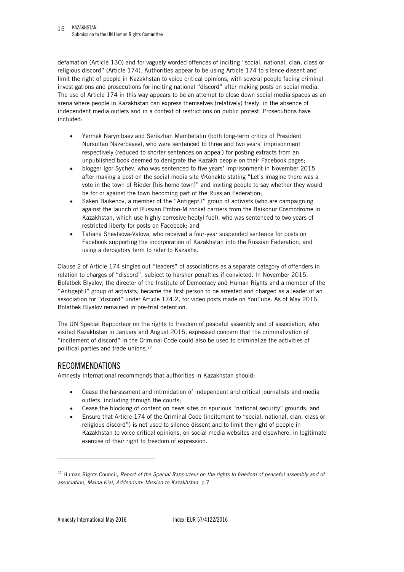defamation (Article 130) and for vaguely worded offences of inciting "social, national, clan, class or religious discord" (Article 174). Authorities appear to be using Article 174 to silence dissent and limit the right of people in Kazakhstan to voice critical opinions, with several people facing criminal investigations and prosecutions for inciting national "discord" after making posts on social media. The use of Article 174 in this way appears to be an attempt to close down social media spaces as an arena where people in Kazakhstan can express themselves (relatively) freely, in the absence of independent media outlets and in a context of restrictions on public protest. Prosecutions have included:

- Yermek Narymbaev and Serikzhan Mambetalin (both long-term critics of President Nursultan Nazerbayev), who were sentenced to three and two years' imprisonment respectively (reduced to shorter sentences on appeal) for posting extracts from an unpublished book deemed to denigrate the Kazakh people on their Facebook pages;
- blogger Igor Sychev, who was sentenced to five years' imprisonment in November 2015 after making a post on the social media site VKonakte stating "Let's imagine there was a vote in the town of Ridder [his home town]" and inviting people to say whether they would be for or against the town becoming part of the Russian Federation;
- Saken Baikenov, a member of the "Antigeptil" group of activists (who are campaigning against the launch of Russian Proton-M rocket carriers from the Baikonur Cosmodrome in Kazakhstan, which use highly corrosive heptyl fuel), who was sentenced to two years of restricted liberty for posts on Facebook; and
- Tatiana Shevtsova-Valova, who received a four-year suspended sentence for posts on Facebook supporting the incorporation of Kazakhstan into the Russian Federation, and using a derogatory term to refer to Kazakhs.

Clause 2 of Article 174 singles out "leaders" of associations as a separate category of offenders in relation to charges of "discord", subject to harsher penalties if convicted. In November 2015, Bolatbek Blyalov, the director of the Institute of Democracy and Human Rights and a member of the "Antigeptil" group of activists, became the first person to be arrested and charged as a leader of an association for "discord" under Article 174.2, for video posts made on YouTube. As of May 2016, Bolatbek Blyalov remained in pre-trial detention.

The UN Special Rapporteur on the rights to freedom of peaceful assembly and of association, who visited Kazakhstan in January and August 2015, expressed concern that the criminalization of "incitement of discord" in the Criminal Code could also be used to criminalize the activities of political parties and trade unions.<sup>27</sup>

### <span id="page-14-0"></span>RECOMMENDATIONS

Amnesty International recommends that authorities in Kazakhstan should:

- Cease the harassment and intimidation of independent and critical journalists and media outlets, including through the courts;
- Cease the blocking of content on news sites on spurious "national security" grounds; and
- Ensure that Article 174 of the Criminal Code (incitement to "social, national, clan, class or religious discord") is not used to silence dissent and to limit the right of people in Kazakhstan to voice critical opinions, on social media websites and elsewhere, in legitimate exercise of their right to freedom of expression.

<sup>27</sup> Human Rights Council, *Report of the Special Rapporteur on the rights to freedom of peaceful assembly and of association, Maina Kiai, Addendum: Mission to Kazakhstan*, p.7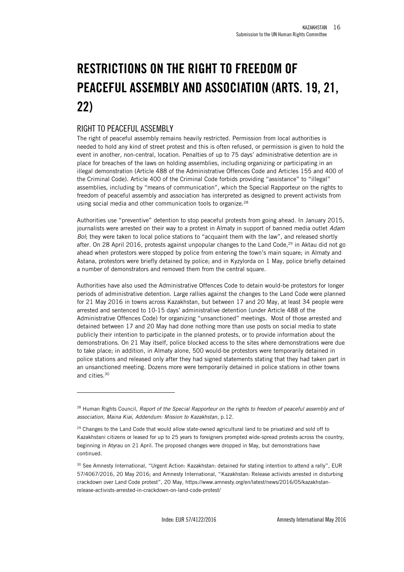# <span id="page-15-0"></span>**RESTRICTIONS ON THE RIGHT TO FREEDOM OF PEACEFUL ASSEMBLY AND ASSOCIATION (ARTS. 19, 21, 22)**

#### <span id="page-15-1"></span>RIGHT TO PEACEFUL ASSEMBLY

l

The right of peaceful assembly remains heavily restricted. Permission from local authorities is needed to hold any kind of street protest and this is often refused, or permission is given to hold the event in another, non-central, location. Penalties of up to 75 days' administrative detention are in place for breaches of the laws on holding assemblies, including organizing or participating in an illegal demonstration (Article 488 of the Administrative Offences Code and Articles 155 and 400 of the Criminal Code). Article 400 of the Criminal Code forbids providing "assistance" to "illegal" assemblies, including by "means of communication", which the Special Rapporteur on the rights to freedom of peaceful assembly and association has interpreted as designed to prevent activists from using social media and other communication tools to organize.<sup>28</sup>

Authorities use "preventive" detention to stop peaceful protests from going ahead. In January 2015, journalists were arrested on their way to a protest in Almaty in support of banned media outlet *Adam Bol*; they were taken to local police stations to "acquaint them with the law", and released shortly after. On 28 April 2016, protests against unpopular changes to the Land Code, $^{29}$  in Aktau did not go ahead when protestors were stopped by police from entering the town's main square; in Almaty and Astana, protestors were briefly detained by police; and in Kyzylorda on 1 May, police briefly detained a number of demonstrators and removed them from the central square.

Authorities have also used the Administrative Offences Code to detain would-be protestors for longer periods of administrative detention. Large rallies against the changes to the Land Code were planned for 21 May 2016 in towns across Kazakhstan, but between 17 and 20 May, at least 34 people were arrested and sentenced to 10-15 days' administrative detention (under Article 488 of the Administrative Offences Code) for organizing "unsanctioned" meetings. Most of those arrested and detained between 17 and 20 May had done nothing more than use posts on social media to state publicly their intention to participate in the planned protests, or to provide information about the demonstrations. On 21 May itself, police blocked access to the sites where demonstrations were due to take place; in addition, in Almaty alone, 500 would-be protestors were temporarily detained in police stations and released only after they had signed statements stating that they had taken part in an unsanctioned meeting. Dozens more were temporarily detained in police stations in other towns and cities.<sup>30</sup>

<sup>28</sup> Human Rights Council, *Report of the Special Rapporteur on the rights to freedom of peaceful assembly and of association, Maina Kiai, Addendum: Mission to Kazakhstan*, p.12.

<sup>&</sup>lt;sup>29</sup> Changes to the Land Code that would allow state-owned agricultural land to be privatized and sold off to Kazakhstani citizens or leased for up to 25 years to foreigners prompted wide-spread protests across the country, beginning in Atyrau on 21 April. The proposed changes were dropped in May, but demonstrations have continued.

<sup>&</sup>lt;sup>30</sup> See Amnesty International, "Urgent Action: Kazakhstan: detained for stating intention to attend a rally", EUR 57/4067/2016, 20 May 2016; and Amnesty International, "Kazakhstan: Release activists arrested in disturbing crackdown over Land Code protest", 20 May, https://www.amnesty.org/en/latest/news/2016/05/kazakhstanrelease-activists-arrested-in-crackdown-on-land-code-protest/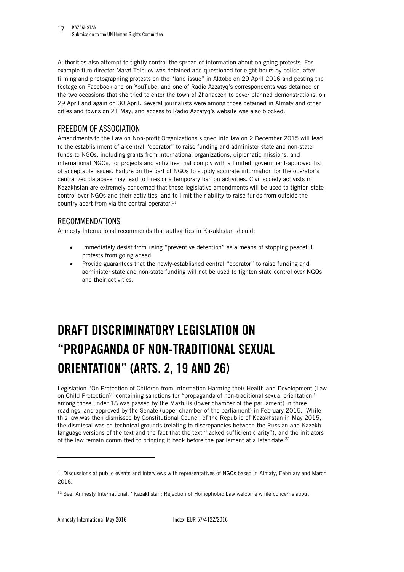Authorities also attempt to tightly control the spread of information about on-going protests. For example film director Marat Teleuov was detained and questioned for eight hours by police, after filming and photographing protests on the "land issue" in Aktobe on 29 April 2016 and posting the footage on Facebook and on YouTube, and one of Radio Azzatyq's correspondents was detained on the two occasions that she tried to enter the town of Zhanaozen to cover planned demonstrations, on 29 April and again on 30 April. Several journalists were among those detained in Almaty and other cities and towns on 21 May, and access to Radio Azzatyq's website was also blocked.

#### <span id="page-16-0"></span>FREEDOM OF ASSOCIATION

Amendments to the Law on Non-profit Organizations signed into law on 2 December 2015 will lead to the establishment of a central "operator" to raise funding and administer state and non-state funds to NGOs, including grants from international organizations, diplomatic missions, and international NGOs, for projects and activities that comply with a limited, government-approved list of acceptable issues. Failure on the part of NGOs to supply accurate information for the operator's centralized database may lead to fines or a temporary ban on activities. Civil society activists in Kazakhstan are extremely concerned that these legislative amendments will be used to tighten state control over NGOs and their activities, and to limit their ability to raise funds from outside the country apart from via the central operator.<sup>31</sup>

#### <span id="page-16-1"></span>RECOMMENDATIONS

Amnesty International recommends that authorities in Kazakhstan should:

- Immediately desist from using "preventive detention" as a means of stopping peaceful protests from going ahead;
- Provide guarantees that the newly-established central "operator" to raise funding and administer state and non-state funding will not be used to tighten state control over NGOs and their activities.

# <span id="page-16-2"></span>**DRAFT DISCRIMINATORY LEGISLATION ON "PROPAGANDA OF NON-TRADITIONAL SEXUAL ORIENTATION" (ARTS. 2, 19 AND 26)**

Legislation "On Protection of Children from Information Harming their Health and Development (Law on Child Protection)" containing sanctions for "propaganda of non-traditional sexual orientation" among those under 18 was passed by the Mazhilis (lower chamber of the parliament) in three readings, and approved by the Senate (upper chamber of the parliament) in February 2015. While this law was then dismissed by Constitutional Council of the Republic of Kazakhstan in May 2015, the dismissal was on technical grounds (relating to discrepancies between the Russian and Kazakh language versions of the text and the fact that the text "lacked sufficient clarity"), and the initiators of the law remain committed to bringing it back before the parliament at a later date.<sup>32</sup>

<sup>&</sup>lt;sup>31</sup> Discussions at public events and interviews with representatives of NGOs based in Almaty, February and March 2016.

<sup>32</sup> See: Amnesty International, "Kazakhstan: Rejection of Homophobic Law welcome while concerns about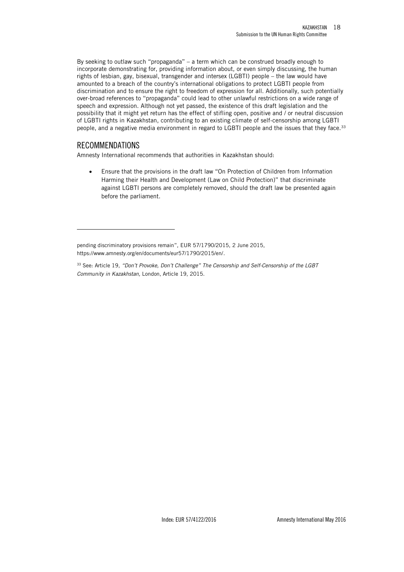By seeking to outlaw such "propaganda" – a term which can be construed broadly enough to incorporate demonstrating for, providing information about, or even simply discussing, the human rights of lesbian, gay, bisexual, transgender and intersex (LGBTI) people – the law would have amounted to a breach of the country's international obligations to protect LGBTI people from discrimination and to ensure the right to freedom of expression for all. Additionally, such potentially over-broad references to "propaganda" could lead to other unlawful restrictions on a wide range of speech and expression. Although not yet passed, the existence of this draft legislation and the possibility that it might yet return has the effect of stifling open, positive and / or neutral discussion of LGBTI rights in Kazakhstan, contributing to an existing climate of self-censorship among LGBTI people, and a negative media environment in regard to LGBTI people and the issues that they face.<sup>33</sup>

#### <span id="page-17-0"></span>RECOMMENDATIONS

j

Amnesty International recommends that authorities in Kazakhstan should:

 Ensure that the provisions in the draft law "On Protection of Children from Information Harming their Health and Development (Law on Child Protection)" that discriminate against LGBTI persons are completely removed, should the draft law be presented again before the parliament.

pending discriminatory provisions remain", EUR 57/1790/2015, 2 June 2015, https://www.amnesty.org/en/documents/eur57/1790/2015/en/.

<sup>33</sup> See: Article 19, *"Don't Provoke, Don't Challenge" The Censorship and Self-Censorship of the LGBT Community in Kazakhstan,* London, Article 19, 2015.